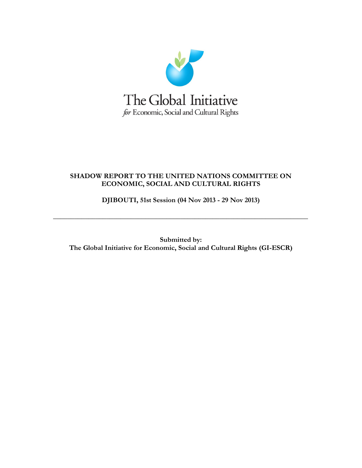

## **SHADOW REPORT TO THE UNITED NATIONS COMMITTEE ON ECONOMIC, SOCIAL AND CULTURAL RIGHTS**

**DJIBOUTI, 51st Session (04 Nov 2013 - 29 Nov 2013)**

**\_\_\_\_\_\_\_\_\_\_\_\_\_\_\_\_\_\_\_\_\_\_\_\_\_\_\_\_\_\_\_\_\_\_\_\_\_\_\_\_\_\_\_\_\_\_\_\_\_\_\_\_\_\_\_\_\_\_\_\_\_\_\_\_\_\_\_\_\_\_\_\_**

**Submitted by: The Global Initiative for Economic, Social and Cultural Rights (GI-ESCR)**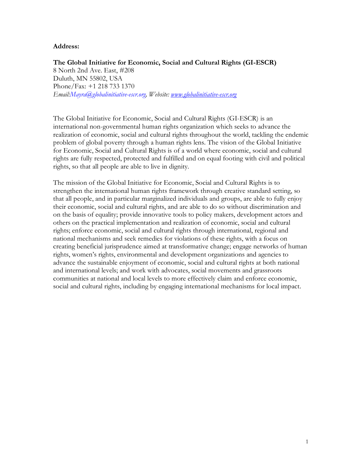## **Address:**

**The Global Initiative for Economic, Social and Cultural Rights (GI-ESCR)** 8 North 2nd Ave. East, #208 Duluth, MN 55802, USA Phone/Fax: +1 218 733 1370 *Email:Mayra@globalinitiative-escr.org, Website: [www.globalinitiative-escr.org](http://www.globalinitiative-escr.org/)*

The Global Initiative for Economic, Social and Cultural Rights (GI-ESCR) is an international non-governmental human rights organization which seeks to advance the realization of economic, social and cultural rights throughout the world, tackling the endemic problem of global poverty through a human rights lens. The vision of the Global Initiative for Economic, Social and Cultural Rights is of a world where economic, social and cultural rights are fully respected, protected and fulfilled and on equal footing with civil and political rights, so that all people are able to live in dignity*.*

The mission of the Global Initiative for Economic, Social and Cultural Rights is to strengthen the international human rights framework through creative standard setting, so that all people, and in particular marginalized individuals and groups, are able to fully enjoy their economic, social and cultural rights, and are able to do so without discrimination and on the basis of equality; provide innovative tools to policy makers, development actors and others on the practical implementation and realization of economic, social and cultural rights; enforce economic, social and cultural rights through international, regional and national mechanisms and seek remedies for violations of these rights, with a focus on creating beneficial jurisprudence aimed at transformative change; engage networks of human rights, women's rights, environmental and development organizations and agencies to advance the sustainable enjoyment of economic, social and cultural rights at both national and international levels; and work with advocates, social movements and grassroots communities at national and local levels to more effectively claim and enforce economic, social and cultural rights, including by engaging international mechanisms for local impact.